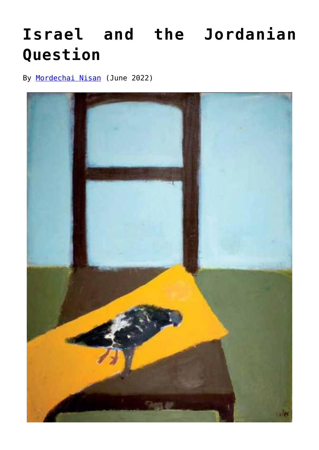# **[Israel and the Jordanian](https://www.newenglishreview.org/articles/israel-and-the-jordanian-question/) [Question](https://www.newenglishreview.org/articles/israel-and-the-jordanian-question/)**

By [Mordechai Nisan](https://www.newenglishreview.org/authors/mordechai-nisan/) (June 2022)

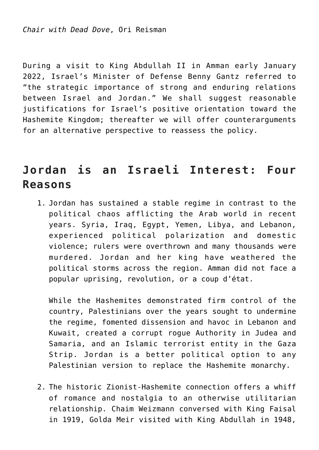During a visit to King Abdullah II in Amman early January 2022, Israel's Minister of Defense Benny Gantz referred to "the strategic importance of strong and enduring relations between Israel and Jordan." We shall suggest reasonable justifications for Israel's positive orientation toward the Hashemite Kingdom; thereafter we will offer counterarguments for an alternative perspective to reassess the policy.

### **Jordan is an Israeli Interest: Four Reasons**

1. Jordan has sustained a stable regime in contrast to the political chaos afflicting the Arab world in recent years. Syria, Iraq, Egypt, Yemen, Libya, and Lebanon, experienced political polarization and domestic violence; rulers were overthrown and many thousands were murdered. Jordan and her king have weathered the political storms across the region. Amman did not face a popular uprising, revolution, or a coup d'état.

While the Hashemites demonstrated firm control of the country, Palestinians over the years sought to undermine the regime, fomented dissension and havoc in Lebanon and Kuwait, created a corrupt rogue Authority in Judea and Samaria, and an Islamic terrorist entity in the Gaza Strip. Jordan is a better political option to any Palestinian version to replace the Hashemite monarchy.

2. The historic Zionist-Hashemite connection offers a whiff of romance and nostalgia to an otherwise utilitarian relationship. Chaim Weizmann conversed with King Faisal in 1919, Golda Meir visited with King Abdullah in 1948,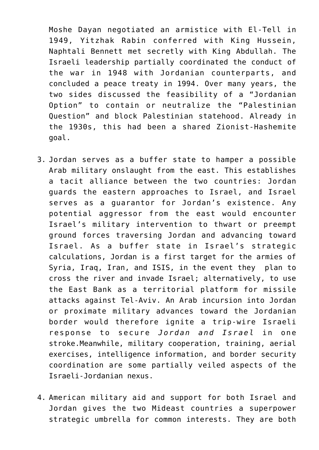Moshe Dayan negotiated an armistice with El-Tell in 1949, Yitzhak Rabin conferred with King Hussein, Naphtali Bennett met secretly with King Abdullah. The Israeli leadership partially coordinated the conduct of the war in 1948 with Jordanian counterparts, and concluded a peace treaty in 1994. Over many years, the two sides discussed the feasibility of a "Jordanian Option" to contain or neutralize the "Palestinian Question" and block Palestinian statehood. Already in the 1930s, this had been a shared Zionist-Hashemite goal.

- 3. Jordan serves as a buffer state to hamper a possible Arab military onslaught from the east. This establishes a tacit alliance between the two countries: Jordan guards the eastern approaches to Israel, and Israel serves as a guarantor for Jordan's existence. Any potential aggressor from the east would encounter Israel's military intervention to thwart or preempt ground forces traversing Jordan and advancing toward Israel. As a buffer state in Israel's strategic calculations, Jordan is a first target for the armies of Syria, Iraq, Iran, and ISIS, in the event they plan to cross the river and invade Israel; alternatively, to use the East Bank as a territorial platform for missile attacks against Tel-Aviv. An Arab incursion into Jordan or proximate military advances toward the Jordanian border would therefore ignite a trip-wire Israeli response to secure *Jordan and Israel* in one stroke.Meanwhile, military cooperation, training, aerial exercises, intelligence information, and border security coordination are some partially veiled aspects of the Israeli-Jordanian nexus.
- 4. American military aid and support for both Israel and Jordan gives the two Mideast countries a superpower strategic umbrella for common interests. They are both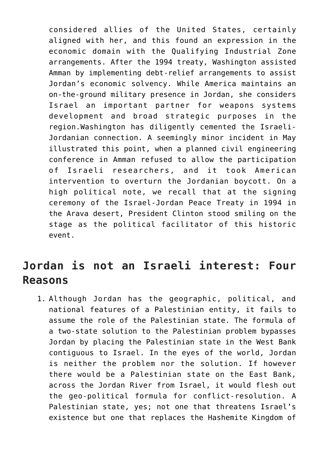considered allies of the United States, certainly aligned with her, and this found an expression in the economic domain with the Qualifying Industrial Zone arrangements. After the 1994 treaty, Washington assisted Amman by implementing debt-relief arrangements to assist Jordan's economic solvency. While America maintains an on-the-ground military presence in Jordan, she considers Israel an important partner for weapons systems development and broad strategic purposes in the region.Washington has diligently cemented the Israeli-Jordanian connection. A seemingly minor incident in May illustrated this point, when a planned civil engineering conference in Amman refused to allow the participation of Israeli researchers, and it took American intervention to overturn the Jordanian boycott. On a high political note, we recall that at the signing ceremony of the Israel-Jordan Peace Treaty in 1994 in the Arava desert, President Clinton stood smiling on the stage as the political facilitator of this historic event.

### **Jordan is not an Israeli interest: Four Reasons**

1. Although Jordan has the geographic, political, and national features of a Palestinian entity, it fails to assume the role of the Palestinian state. The formula of a two-state solution to the Palestinian problem bypasses Jordan by placing the Palestinian state in the West Bank contiguous to Israel. In the eyes of the world, Jordan is neither the problem nor the solution. If however there would be a Palestinian state on the East Bank, across the Jordan River from Israel, it would flesh out the geo-political formula for conflict-resolution. A Palestinian state, yes; not one that threatens Israel's existence but one that replaces the Hashemite Kingdom of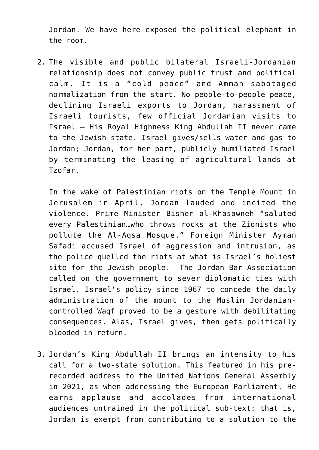Jordan. We have here exposed the political elephant in the room.

2. The visible and public bilateral Israeli-Jordanian relationship does not convey public trust and political calm. It is a "cold peace" and Amman sabotaged normalization from the start. No people-to-people peace, declining Israeli exports to Jordan, harassment of Israeli tourists, few official Jordanian visits to Israel – His Royal Highness King Abdullah II never came to the Jewish state. Israel gives/sells water and gas to Jordan; Jordan, for her part, publicly humiliated Israel by terminating the leasing of agricultural lands at Tzofar.

In the wake of Palestinian riots on the Temple Mount in Jerusalem in April, Jordan lauded and incited the violence. Prime Minister Bisher al-Khasawneh "saluted every Palestinian…who throws rocks at the Zionists who pollute the Al-Aqsa Mosque." Foreign Minister Ayman Safadi accused Israel of aggression and intrusion, as the police quelled the riots at what is Israel's holiest site for the Jewish people. The Jordan Bar Association called on the government to sever diplomatic ties with Israel. Israel's policy since 1967 to concede the daily administration of the mount to the Muslim Jordaniancontrolled Waqf proved to be a gesture with debilitating consequences. Alas, Israel gives, then gets politically blooded in return.

3. Jordan's King Abdullah II brings an intensity to his call for a two-state solution. This featured in his prerecorded address to the United Nations General Assembly in 2021, as when addressing the European Parliament. He earns applause and accolades from international audiences untrained in the political sub-text: that is, Jordan is exempt from contributing to a solution to the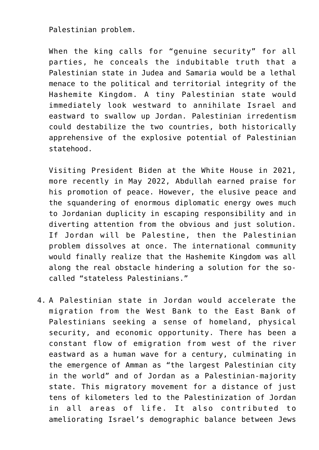Palestinian problem.

When the king calls for "genuine security" for all parties, he conceals the indubitable truth that a Palestinian state in Judea and Samaria would be a lethal menace to the political and territorial integrity of the Hashemite Kingdom. A tiny Palestinian state would immediately look westward to annihilate Israel and eastward to swallow up Jordan. Palestinian irredentism could destabilize the two countries, both historically apprehensive of the explosive potential of Palestinian statehood.

Visiting President Biden at the White House in 2021, more recently in May 2022, Abdullah earned praise for his promotion of peace. However, the elusive peace and the squandering of enormous diplomatic energy owes much to Jordanian duplicity in escaping responsibility and in diverting attention from the obvious and just solution. If Jordan will be Palestine, then the Palestinian problem dissolves at once. The international community would finally realize that the Hashemite Kingdom was all along the real obstacle hindering a solution for the socalled "stateless Palestinians."

4. A Palestinian state in Jordan would accelerate the migration from the West Bank to the East Bank of Palestinians seeking a sense of homeland, physical security, and economic opportunity. There has been a constant flow of emigration from west of the river eastward as a human wave for a century, culminating in the emergence of Amman as "the largest Palestinian city in the world" and of Jordan as a Palestinian-majority state. This migratory movement for a distance of just tens of kilometers led to the Palestinization of Jordan in all areas of life. It also contributed to ameliorating Israel's demographic balance between Jews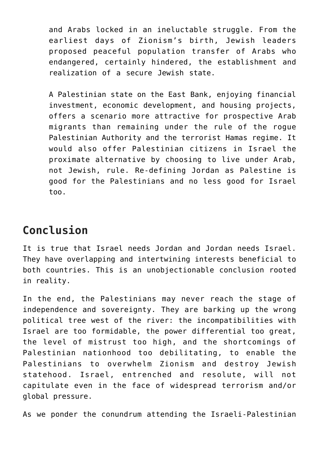and Arabs locked in an ineluctable struggle. From the earliest days of Zionism's birth, Jewish leaders proposed peaceful population transfer of Arabs who endangered, certainly hindered, the establishment and realization of a secure Jewish state.

A Palestinian state on the East Bank, enjoying financial investment, economic development, and housing projects, offers a scenario more attractive for prospective Arab migrants than remaining under the rule of the rogue Palestinian Authority and the terrorist Hamas regime. It would also offer Palestinian citizens in Israel the proximate alternative by choosing to live under Arab, not Jewish, rule. Re-defining Jordan as Palestine is good for the Palestinians and no less good for Israel too.

## **Conclusion**

It is true that Israel needs Jordan and Jordan needs Israel. They have overlapping and intertwining interests beneficial to both countries. This is an unobjectionable conclusion rooted in reality.

In the end, the Palestinians may never reach the stage of independence and sovereignty. They are barking up the wrong political tree west of the river: the incompatibilities with Israel are too formidable, the power differential too great, the level of mistrust too high, and the shortcomings of Palestinian nationhood too debilitating, to enable the Palestinians to overwhelm Zionism and destroy Jewish statehood. Israel, entrenched and resolute, will not capitulate even in the face of widespread terrorism and/or global pressure.

As we ponder the conundrum attending the Israeli-Palestinian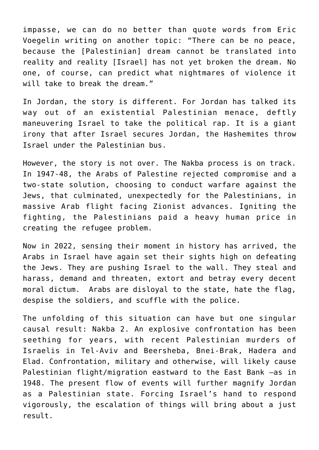impasse, we can do no better than quote words from Eric Voegelin writing on another topic: "There can be no peace, because the [Palestinian] dream cannot be translated into reality and reality [Israel] has not yet broken the dream. No one, of course, can predict what nightmares of violence it will take to break the dream."

In Jordan, the story is different. For Jordan has talked its way out of an existential Palestinian menace, deftly maneuvering Israel to take the political rap. It is a giant irony that after Israel secures Jordan, the Hashemites throw Israel under the Palestinian bus.

However, the story is not over. The Nakba process is on track. In 1947-48, the Arabs of Palestine rejected compromise and a two-state solution, choosing to conduct warfare against the Jews, that culminated, unexpectedly for the Palestinians, in massive Arab flight facing Zionist advances. Igniting the fighting, the Palestinians paid a heavy human price in creating the refugee problem.

Now in 2022, sensing their moment in history has arrived, the Arabs in Israel have again set their sights high on defeating the Jews. They are pushing Israel to the wall. They steal and harass, demand and threaten, extort and betray every decent moral dictum. Arabs are disloyal to the state, hate the flag, despise the soldiers, and scuffle with the police.

The unfolding of this situation can have but one singular causal result: Nakba 2. An explosive confrontation has been seething for years, with recent Palestinian murders of Israelis in Tel-Aviv and Beersheba, Bnei-Brak, Hadera and Elad. Confrontation, military and otherwise, will likely cause Palestinian flight/migration eastward to the East Bank —as in 1948. The present flow of events will further magnify Jordan as a Palestinian state. Forcing Israel's hand to respond vigorously, the escalation of things will bring about a just result.